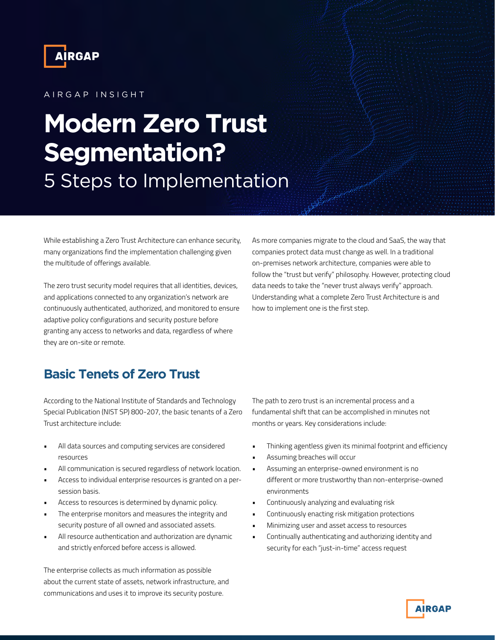

### A I R G A P IN SIGHT

# **Modern Zero Trust Segmentation?**  5 Steps to Implementation

While establishing a Zero Trust Architecture can enhance security, many organizations find the implementation challenging given the multitude of offerings available.

The zero trust security model requires that all identities, devices, and applications connected to any organization's network are continuously authenticated, authorized, and monitored to ensure adaptive policy configurations and security posture before granting any access to networks and data, regardless of where they are on-site or remote.

As more companies migrate to the cloud and SaaS, the way that companies protect data must change as well. In a traditional on-premises network architecture, companies were able to follow the "trust but verify" philosophy. However, protecting cloud data needs to take the "never trust always verify" approach. Understanding what a complete Zero Trust Architecture is and how to implement one is the first step.

# **Basic Tenets of Zero Trust**

According to the National Institute of Standards and Technology Special Publication (NIST SP) 800-207, the basic tenants of a Zero Trust architecture include:

- All data sources and computing services are considered resources
- All communication is secured regardless of network location.
- Access to individual enterprise resources is granted on a persession basis.
- Access to resources is determined by dynamic policy.
- The enterprise monitors and measures the integrity and security posture of all owned and associated assets.
- All resource authentication and authorization are dynamic and strictly enforced before access is allowed.

The enterprise collects as much information as possible about the current state of assets, network infrastructure, and communications and uses it to improve its security posture.

The path to zero trust is an incremental process and a fundamental shift that can be accomplished in minutes not months or years. Key considerations include:

- Thinking agentless given its minimal footprint and efficiency
- Assuming breaches will occur
- Assuming an enterprise-owned environment is no different or more trustworthy than non-enterprise-owned environments
- Continuously analyzing and evaluating risk
- Continuously enacting risk mitigation protections
- Minimizing user and asset access to resources
- Continually authenticating and authorizing identity and security for each "just-in-time" access request

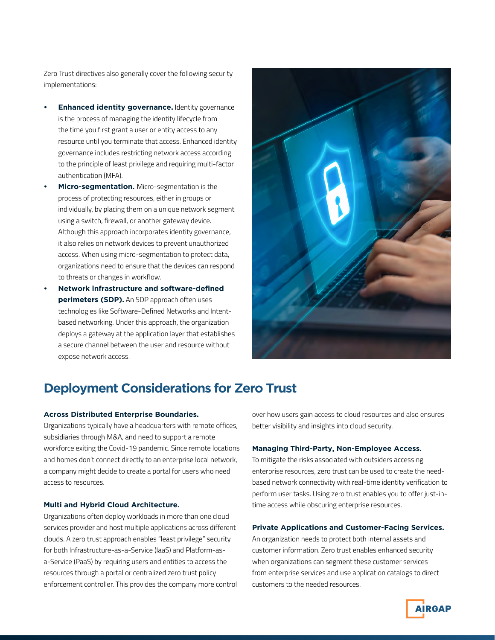Zero Trust directives also generally cover the following security implementations:

- **• Enhanced identity governance.** Identity governance is the process of managing the identity lifecycle from the time you first grant a user or entity access to any resource until you terminate that access. Enhanced identity governance includes restricting network access according to the principle of least privilege and requiring multi-factor authentication (MFA).
- **• Micro-segmentation.** Micro-segmentation is the process of protecting resources, either in groups or individually, by placing them on a unique network segment using a switch, firewall, or another gateway device. Although this approach incorporates identity governance, it also relies on network devices to prevent unauthorized access. When using micro-segmentation to protect data, organizations need to ensure that the devices can respond to threats or changes in workflow.
- **• Network infrastructure and software-defined perimeters (SDP).** An SDP approach often uses technologies like Software-Defined Networks and Intentbased networking. Under this approach, the organization deploys a gateway at the application layer that establishes a secure channel between the user and resource without expose network access.



# **Deployment Considerations for Zero Trust**

### **Across Distributed Enterprise Boundaries.**

Organizations typically have a headquarters with remote offices, subsidiaries through M&A, and need to support a remote workforce exiting the Covid-19 pandemic. Since remote locations and homes don't connect directly to an enterprise local network, a company might decide to create a portal for users who need access to resources.

#### **Multi and Hybrid Cloud Architecture.**

Organizations often deploy workloads in more than one cloud services provider and host multiple applications across different clouds. A zero trust approach enables "least privilege" security for both Infrastructure-as-a-Service (IaaS) and Platform-asa-Service (PaaS) by requiring users and entities to access the resources through a portal or centralized zero trust policy enforcement controller. This provides the company more control over how users gain access to cloud resources and also ensures better visibility and insights into cloud security.

#### **Managing Third-Party, Non-Employee Access.**

To mitigate the risks associated with outsiders accessing enterprise resources, zero trust can be used to create the needbased network connectivity with real-time identity verification to perform user tasks. Using zero trust enables you to offer just-intime access while obscuring enterprise resources.

#### **Private Applications and Customer-Facing Services.**

An organization needs to protect both internal assets and customer information. Zero trust enables enhanced security when organizations can segment these customer services from enterprise services and use application catalogs to direct customers to the needed resources.